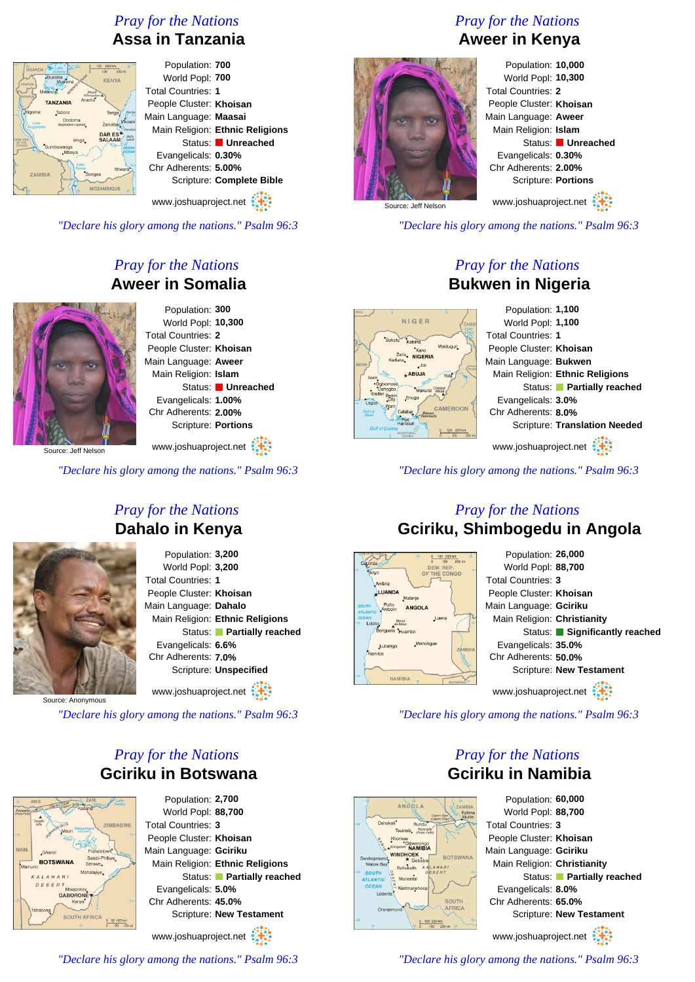# *Pray for the Nations* **Assa in Tanzania**

| 100 200 km<br>UGANDA<br>100<br>200 mi                                                        | Population: 700                 |
|----------------------------------------------------------------------------------------------|---------------------------------|
| <b>Bukoba</b><br><b>KENYA</b><br>Musoma<br><b>WANDA</b>                                      | World Popl: 700                 |
| Mwanza<br>Mount<br>Kilimaniaro A<br>URUND                                                    | <b>Total Countries: 1</b>       |
| Arusha<br><b>TANZANIA</b>                                                                    | People Cluster: Khoisan         |
| Kigoma<br>Tabora<br>Tanga <sub>2</sub><br>Pemba<br>Dodoma<br>Mkoani<br>Lake                  | Main Language: Maasai           |
| Zanzibar<br>(legislative capital)<br>Tanganyika<br>edison<br>DAR ES <sup>*</sup>             | Main Religion: Ethnic Religions |
| Maña<br><b>SALAAM</b><br>Island<br>REI<br>Iringa_<br>HE<br>GC<br>Sumbawanga<br><b>INDIAN</b> | Status: Unreached               |
| <b>OCEAN</b><br>.Mbeya                                                                       | Evangelicals: 0.30%             |
| Lake<br>Mtwara <sup>*</sup><br>Songea<br><b>ZAMBIA</b>                                       | Chr Adherents: 5.00%            |
| <b>MALAW</b>                                                                                 | Scripture: Complete Bible       |
| <b>MOZAMBIQUE</b>                                                                            |                                 |
|                                                                                              | www.joshuaproject.net           |

*"Declare his glory among the nations." Psalm 96:3*

# *Pray for the Nations* **Aweer in Somalia**



Population: **300** World Popl: **10,300** Total Countries: **2** People Cluster: **Khoisan** Main Language: **Aweer** Main Religion: **Islam** Status: **Unreached** Evangelicals: **1.00%** Chr Adherents: **2.00%** Scripture: **Portions** www.joshuaproject.net

Source: Jeff Nelson

*"Declare his glory among the nations." Psalm 96:3*



### *Pray for the Nations* **Dahalo in Kenya**

Population: **3,200** World Popl: **3,200** Total Countries: **1** People Cluster: **Khoisan** Main Language: **Dahalo** Main Religion: **Ethnic Religions** Status: **Partially reached** Evangelicals: **6.6%** Chr Adherents: **7.0%** Scripture: **Unspecified** www.joshuaproject.net

Source: Anonymous

*"Declare his glory among the nations." Psalm 96:3*

#### *Pray for the Nations* **Gciriku in Botswana**



Population: **2,700** World Popl: **88,700** Total Countries: **3** People Cluster: **Khoisan** Main Language: **Gciriku** Main Religion: **Ethnic Religions** Status: **Partially reached** Evangelicals: **5.0%** Chr Adherents: **45.0%** Scripture: **New Testament**

www.joshuaproject.net

*"Declare his glory among the nations." Psalm 96:3*

# *Pray for the Nations* **Aweer in Kenya**



Population: **10,000** World Popl: **10,300** Total Countries: **2** People Cluster: **Khoisan** Main Language: **Aweer** Main Religion: **Islam** Status: **Unreached** Evangelicals: **0.30%** Chr Adherents: **2.00%** Scripture: **Portions** www.joshuaproject.net

Source: Jeff Nelson

*"Declare his glory among the nations." Psalm 96:3*

#### *Pray for the Nations* **Bukwen in Nigeria**

|                                                                 | Population: 1,100                    |
|-----------------------------------------------------------------|--------------------------------------|
| NIGER<br>CHAD<br>Loke                                           | World Popl: 1,100                    |
| Chad<br>Sokoto<br>Katsina                                       | <b>Total Countries: 1</b>            |
| Maiduguri<br>Kano<br>Zaria                                      | People Cluster: Khoisan              |
| <b>NIGERIA</b><br>Kaduna,<br>$\log$                             | Main Language: Bukwen                |
| CHAI<br>+ABUJA<br>Yola                                          | Main Religion: Ethnic Religions      |
| ·Ogbomoso<br>Chappa<br>Waddi<br>Oshogpg<br>Makurdi              | Status: Partially reached            |
| Benin<br>Enugu<br>Warri                                         | Evangelicals: 3.0%                   |
| <b>CAMEROON</b><br>Calabar<br><b>Bakas</b><br>Port              | Chr Adherents: 8.0%                  |
| Harcourt<br>ulf of Guinea<br>200 km<br>100<br><b>FOUATORIAL</b> | <b>Scripture: Translation Needed</b> |
| 100<br>$\Omega$<br>200 mi                                       | www.joshuaproject.net                |
|                                                                 |                                      |

*"Declare his glory among the nations." Psalm 96:3*

#### *Pray for the Nations* **Gciriku, Shimbogedu in Angola**



*"Declare his glory among the nations." Psalm 96:3*

#### *Pray for the Nations* **Gciriku in Namibia**



Population: **60,000** World Popl: **88,700** Total Countries: **3** People Cluster: **Khoisan** Main Language: **Gciriku** Main Religion: **Christianity** Status: **Partially reached** Evangelicals: **8.0%** Chr Adherents: **65.0%** Scripture: **New Testament** www.joshuaproject.net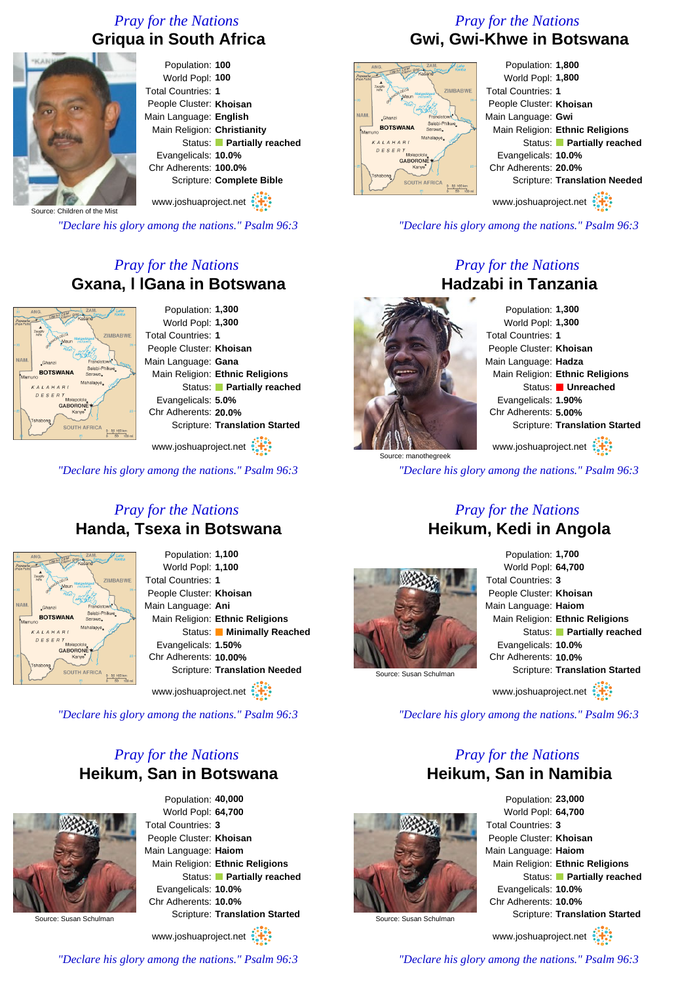# *Pray for the Nations* **Griqua in South Africa**



Population: **100** World Popl: **100** Total Countries: **1** People Cluster: **Khoisan** Main Language: **English** Main Religion: **Christianity** Status: **Partially reached** Evangelicals: **10.0%** Chr Adherents: **100.0%** Scripture: **Complete Bible**

www.joshuaproject.net

Source: Children of the Mist

*"Declare his glory among the nations." Psalm 96:3*

#### *Pray for the Nations* **Gxana, l lGana in Botswana**



www.joshuaproject.net

*"Declare his glory among the nations." Psalm 96:3*

#### *Pray for the Nations* **Handa, Tsexa in Botswana**



Population: **1,100** World Popl: **1,100** Total Countries: **1** People Cluster: **Khoisan** Main Language: **Ani** Main Religion: **Ethnic Religions** Status: **Minimally Reached** Evangelicals: **1.50%** Chr Adherents: **10.00%** Scripture: **Translation Needed**

www.joshuaproject.net

*"Declare his glory among the nations." Psalm 96:3*

#### *Pray for the Nations* **Heikum, San in Botswana**



Population: **40,000** World Popl: **64,700** Total Countries: **3** People Cluster: **Khoisan** Main Language: **Haiom** Main Religion: **Ethnic Religions** Status: **Partially reached** Evangelicals: **10.0%** Chr Adherents: **10.0%** Scripture: **Translation Started**

www.joshuaproject.net

**Gwi, Gwi-Khwe in Botswana** Population: **1,800**

*Pray for the Nations*



World Popl: **1,800** Total Countries: **1** People Cluster: **Khoisan** Main Language: **Gwi** Main Religion: **Ethnic Religions** Status: **Partially reached** Evangelicals: **10.0%** Chr Adherents: **20.0%** Scripture: **Translation Needed**

www.joshuaproject.net

*"Declare his glory among the nations." Psalm 96:3*

#### *Pray for the Nations* **Hadzabi in Tanzania**

Population: **1,300** World Popl: **1,300** Total Countries: **1** People Cluster: **Khoisan** Main Language: **Hadza** Main Religion: **Ethnic Religions** Status: **Unreached** Evangelicals: **1.90%** Chr Adherents: **5.00%** Scripture: **Translation Started** www.joshuaproject.net

*"Declare his glory among the nations." Psalm 96:3*



Source: manothegreek

Population: **1,700** World Popl: **64,700** Total Countries: **3** People Cluster: **Khoisan** Main Language: **Haiom** Main Religion: **Ethnic Religions** Status: **Partially reached** Evangelicals: **10.0%** Chr Adherents: **10.0%** Scripture: **Translation Started** www.joshuaproject.net

*"Declare his glory among the nations." Psalm 96:3*

#### *Pray for the Nations* **Heikum, San in Namibia**



Population: **23,000** World Popl: **64,700** Total Countries: **3** People Cluster: **Khoisan** Main Language: **Haiom** Main Religion: **Ethnic Religions** Status: **Partially reached** Evangelicals: **10.0%** Chr Adherents: **10.0%** Scripture: **Translation Started**

Source: Susan Schulman

www.joshuaproject.net

*"Declare his glory among the nations." Psalm 96:3*

*"Declare his glory among the nations." Psalm 96:3*

# *Pray for the Nations* **Heikum, Kedi in Angola**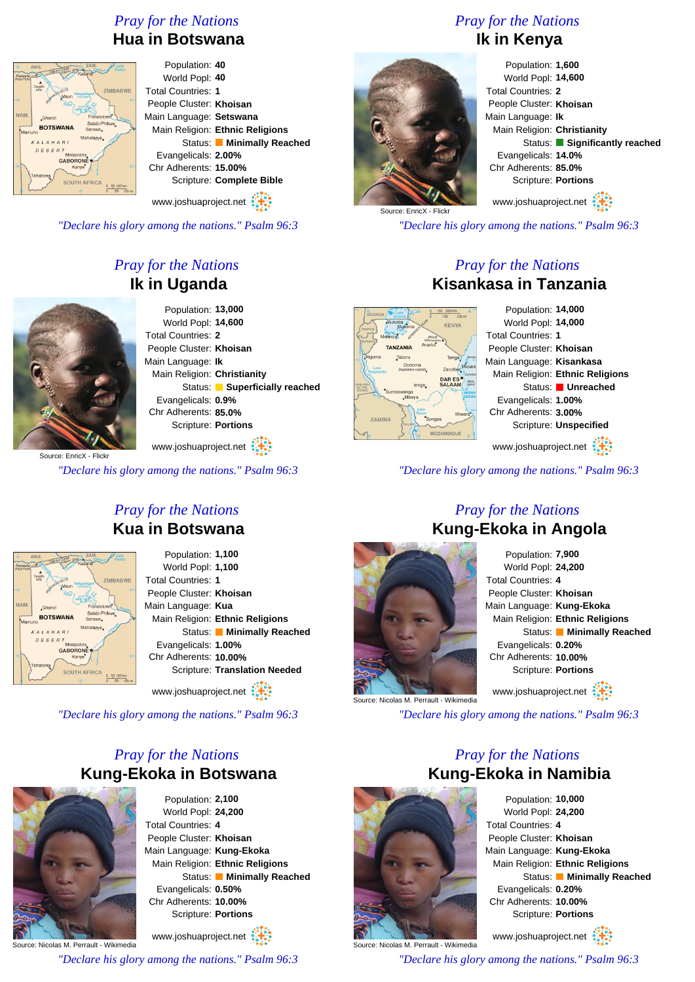#### *Pray for the Nations* **Hua in Botswana**



Population: **40** World Popl: **40** Total Countries: **1** People Cluster: **Khoisan** Main Language: **Setswana** Main Religion: **Ethnic Religions** Status: **Minimally Reached** Evangelicals: **2.00%** Chr Adherents: **15.00%** Scripture: **Complete Bible**

www.joshuaproject.net

*"Declare his glory among the nations." Psalm 96:3*

# *Pray for the Nations* **Ik in Uganda**



Population: **13,000** World Popl: **14,600** Total Countries: **2** People Cluster: **Khoisan** Main Language: **Ik** Main Religion: **Christianity** Status: **Superficially reached** Evangelicals: **0.9%** Chr Adherents: **85.0%** Scripture: **Portions**

Source: EnricX - Flick www.joshuaproject.net

*"Declare his glory among the nations." Psalm 96:3*

#### *Pray for the Nations* **Kua in Botswana**

| żо<br>Popavaile<br>(Pope Fails) | ZAM.<br>Lake<br>ANG.<br>Caprivi Ziptel sup)<br>Kanba<br>Zambas<br>Kasane<br><b>Tsodilo</b><br><b>AVANOID DELTA</b><br>Hille<br><b>ZIMBABWE</b><br>Makaadikaad<br>Maun<br><b>Gall parts</b> |
|---------------------------------|--------------------------------------------------------------------------------------------------------------------------------------------------------------------------------------------|
| -56<br>NAM.<br>Mamuno           | $20 -$<br>Boton<br>Francistown<br>"Ghanzi<br>Selebi-Phikwe<br><b>BOTSWANA</b><br>Serowe.<br>Mahalapye.<br>KALAHARI                                                                         |
| 25                              | DESERT<br>Molepolole,<br><b>GABORONE</b><br>$25 -$<br><b>Kanye</b> <sup>*</sup><br>shabong<br><b>SOUTH AFRICA</b><br>50 100 km<br>50<br>25<br>100 mi                                       |

Population: **1,100** World Popl: **1,100** Total Countries: **1** People Cluster: **Khoisan** Main Language: **Kua** Main Religion: **Ethnic Religions** Status: **Minimally Reached** Evangelicals: **1.00%** Chr Adherents: **10.00%** Scripture: **Translation Needed**

www.joshuaproject.net

*"Declare his glory among the nations." Psalm 96:3*

#### *Pray for the Nations* **Kung-Ekoka in Botswana**



Population: **2,100** World Popl: **24,200** Total Countries: **4** People Cluster: **Khoisan** Main Language: **Kung-Ekoka** Main Religion: **Ethnic Religions** Status: **Minimally Reached** Evangelicals: **0.50%** Chr Adherents: **10.00%** Scripture: **Portions**

Source: Nicolas M. Perrault - Wikimedia www.joshuaproject.net

*"Declare his glory among the nations." Psalm 96:3*

# *Pray for the Nations* **Ik in Kenya**



Population: **1,600** World Popl: **14,600** Total Countries: **2** People Cluster: **Khoisan** Main Language: **Ik** Main Religion: **Christianity** Status: **Significantly reached** Evangelicals: **14.0%** Chr Adherents: **85.0%** Scripture: **Portions** www.joshuaproject.net

Source: EnricX - Flick

*"Declare his glory among the nations." Psalm 96:3*

#### *Pray for the Nations* **Kisankasa in Tanzania**



Population: **14,000** World Popl: **14,000** People Cluster: **Khoisan** Main Language: **Kisankasa** Main Religion: **Ethnic Religions** Status: **Unreached** Evangelicals: **1.00%** Chr Adherents: **3.00%** Scripture: **Unspecified** www.joshuaproject.net

*"Declare his glory among the nations." Psalm 96:3*

# *Pray for the Nations* **Kung-Ekoka in Angola**



Population: **7,900** World Popl: **24,200** Total Countries: **4** People Cluster: **Khoisan** Main Language: **Kung-Ekoka** Main Religion: **Ethnic Religions** Status: **Minimally Reached** Evangelicals: **0.20%** Chr Adherents: **10.00%** Scripture: **Portions** www.joshuaproject.net

*"Declare his glory among the nations." Psalm 96:3*

#### *Pray for the Nations* **Kung-Ekoka in Namibia**



Source: Nicolas M. Perrault - Wikimedia

Population: **10,000** World Popl: **24,200** Total Countries: **4** People Cluster: **Khoisan** Main Language: **Kung-Ekoka** Main Religion: **Ethnic Religions** Status: **Minimally Reached** Evangelicals: **0.20%** Chr Adherents: **10.00%** Scripture: **Portions**

www.joshuaproject.net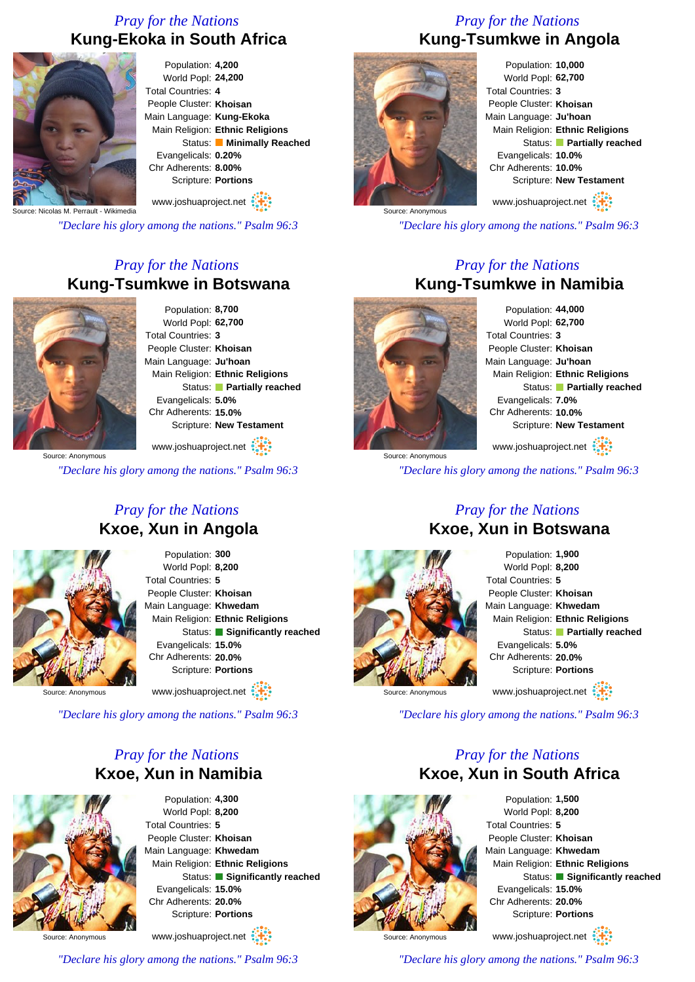### *Pray for the Nations* **Kung-Ekoka in South Africa**



Population: **4,200** World Popl: **24,200** Total Countries: **4** People Cluster: **Khoisan** Main Language: **Kung-Ekoka** Main Religion: **Ethnic Religions** Status: **Minimally Reached** Evangelicals: **0.20%** Chr Adherents: **8.00%** Scripture: **Portions**

www.joshuaproject.net

Source: Nicolas M. Perrault - Wikimedia

*"Declare his glory among the nations." Psalm 96:3*

#### *Pray for the Nations* **Kung-Tsumkwe in Botswana**



Population: **8,700** World Popl: **62,700** Total Countries: **3** People Cluster: **Khoisan** Main Language: **Ju'hoan** Main Religion: **Ethnic Religions** Status: **Partially reached** Evangelicals: **5.0%** Chr Adherents: **15.0%** Scripture: **New Testament**

www.joshuaproject.net

*"Declare his glory among the nations." Psalm 96:3*

#### *Pray for the Nations* **Kxoe, Xun in Angola**



Population: **300** World Popl: **8,200** Total Countries: **5** People Cluster: **Khoisan** Main Language: **Khwedam** Main Religion: **Ethnic Religions** Status: **Significantly reached** Evangelicals: **15.0%** Chr Adherents: **20.0%** Scripture: **Portions** www.joshuaproject.net

Source: Anonymous

*"Declare his glory among the nations." Psalm 96:3*

#### *Pray for the Nations* **Kxoe, Xun in Namibia**



Population: **4,300** World Popl: **8,200** Total Countries: **5** People Cluster: **Khoisan** Main Language: **Khwedam** Main Religion: **Ethnic Religions** Status: **Significantly reached** Evangelicals: **15.0%** Chr Adherents: **20.0%** Scripture: **Portions** www.joshuaproject.net

Source: Anonymous

*"Declare his glory among the nations." Psalm 96:3*

# *Pray for the Nations* **Kung-Tsumkwe in Angola**



Population: **10,000** World Popl: **62,700** Total Countries: **3** People Cluster: **Khoisan** Main Language: **Ju'hoan** Main Religion: **Ethnic Religions** Status: **Partially reached** Evangelicals: **10.0%** Chr Adherents: **10.0%** Scripture: **New Testament** www.joshuaproject.net

*"Declare his glory among the nations." Psalm 96:3*

#### *Pray for the Nations* **Kung-Tsumkwe in Namibia**

Population: **44,000** World Popl: **62,700** Total Countries: **3** People Cluster: **Khoisan** Main Language: **Ju'hoan** Main Religion: **Ethnic Religions** Status: **Partially reached** Evangelicals: **7.0%** Chr Adherents: **10.0%** Scripture: **New Testament** www.joshuaproject.net

Source: Anonymous

*"Declare his glory among the nations." Psalm 96:3*

#### *Pray for the Nations* **Kxoe, Xun in Botswana**



#### Population: **1,900** World Popl: **8,200** Total Countries: **5** People Cluster: **Khoisan** Main Language: **Khwedam** Main Religion: **Ethnic Religions** Status: **Partially reached** Evangelicals: **5.0%** Chr Adherents: **20.0%** Scripture: **Portions** www.joshuaproject.net

Source: Anonymous

*"Declare his glory among the nations." Psalm 96:3*

#### *Pray for the Nations* **Kxoe, Xun in South Africa**



Population: **1,500** World Popl: **8,200** Total Countries: **5** People Cluster: **Khoisan** Main Language: **Khwedam** Main Religion: **Ethnic Religions** Status: **Significantly reached** Evangelicals: **15.0%** Chr Adherents: **20.0%** Scripture: **Portions**

Source: Anonymous

www.joshuaproject.net *"Declare his glory among the nations." Psalm 96:3*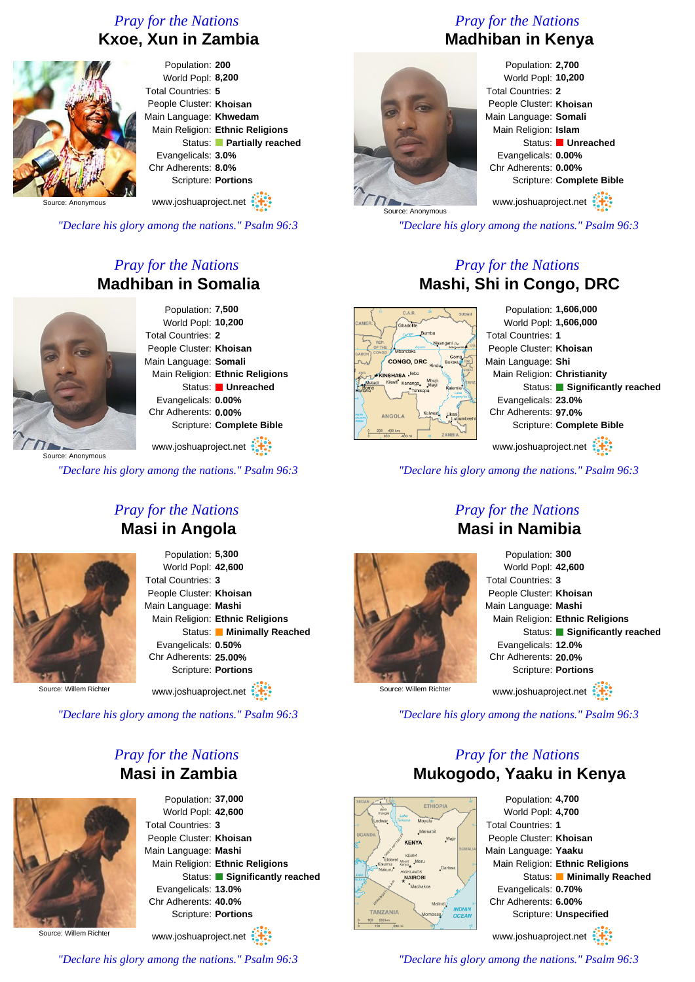#### *Pray for the Nations* **Kxoe, Xun in Zambia**



World Popl: **8,200** People Cluster: **Khoisan** Main Language: **Khwedam** Main Religion: **Ethnic Religions** Status: **Partially reached** Evangelicals: **3.0%** Chr Adherents: **8.0%** Scripture: **Portions**

Source: Anonymous

*"Declare his glory among the nations." Psalm 96:3*

### *Pray for the Nations* **Madhiban in Somalia**



Population: **7,500** World Popl: **10,200** Total Countries: **2** People Cluster: **Khoisan** Main Language: **Somali** Main Religion: **Ethnic Religions** Status: **Unreached** Evangelicals: **0.00%** Chr Adherents: **0.00%** Scripture: **Complete Bible**

www.joshuaproject.net

*"Declare his glory among the nations." Psalm 96:3*

### *Pray for the Nations* **Masi in Angola**



Population: **5,300** World Popl: **42,600** Total Countries: **3** People Cluster: **Khoisan** Main Language: **Mashi** Main Religion: **Ethnic Religions** Status: **Minimally Reached** Evangelicals: **0.50%** Chr Adherents: **25.00%** Scripture: **Portions**

Source: Willem Richter

www.joshuaproject.net

*"Declare his glory among the nations." Psalm 96:3*

### *Pray for the Nations* **Masi in Zambia**



Source: Willem Richter



*"Declare his glory among the nations." Psalm 96:3*

# *Pray for the Nations* **Madhiban in Kenya**



Population: **2,700** World Popl: **10,200** Total Countries: **2** People Cluster: **Khoisan** Main Language: **Somali** Main Religion: **Islam** Status: **Unreached** Evangelicals: **0.00%** Chr Adherents: **0.00%** Scripture: **Complete Bible** www.joshuaproject.net

*"Declare his glory among the nations." Psalm 96:3*

#### *Pray for the Nations* **Mashi, Shi in Congo, DRC**

CONGO, DRC CONCHACA Ilet

Population: **1,606,000** World Popl: **1,606,000** Total Countries: **1** People Cluster: **Khoisan** Main Language: **Shi** Main Religion: **Christianity** Status: **Significantly reached** Evangelicals: **23.0%** Chr Adherents: **97.0%** Scripture: **Complete Bible** www.joshuaproject.net

*"Declare his glory among the nations." Psalm 96:3*



#### *Pray for the Nations* **Masi in Namibia**

Population: **300** World Popl: **42,600** Total Countries: **3** People Cluster: **Khoisan** Main Language: **Mashi** Main Religion: **Ethnic Religions** Status: **Significantly reached** Evangelicals: **12.0%** Chr Adherents: **20.0%** Scripture: **Portions** www.joshuaproject.net

Source: Willem Richter

*"Declare his glory among the nations." Psalm 96:3*

# *Pray for the Nations* **Mukogodo, Yaaku in Kenya** Population: **4,700**



World Popl: **4,700** Total Countries: **1** People Cluster: **Khoisan** Main Language: **Yaaku** Main Religion: **Ethnic Religions** Status: **Minimally Reached** Evangelicals: **0.70%** Chr Adherents: **6.00%** Scripture: **Unspecified** www.joshuaproject.net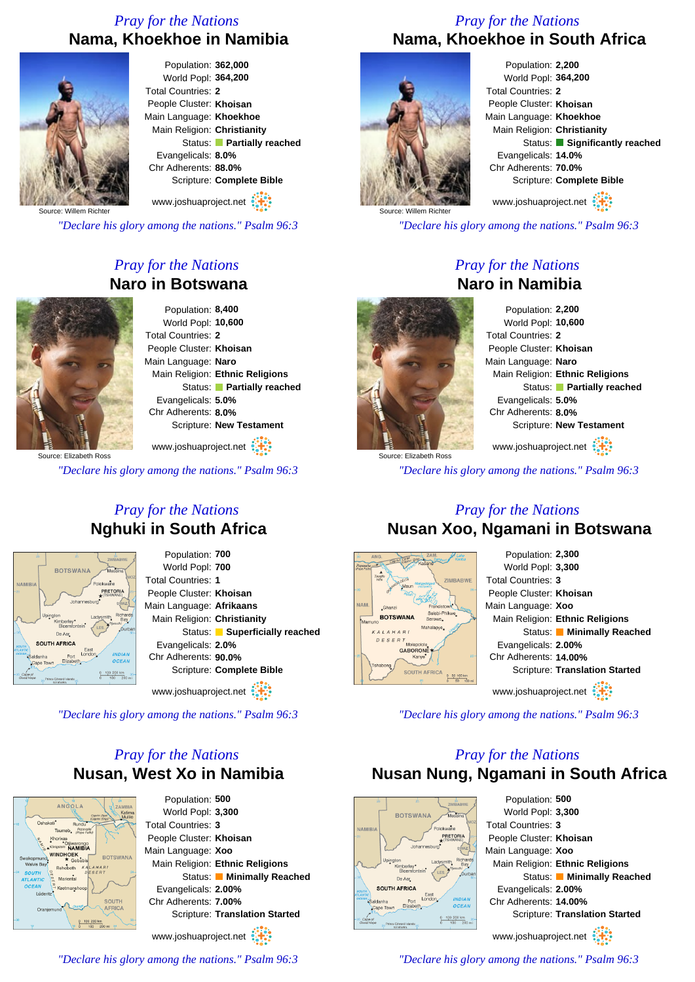# *Pray for the Nations* **Nama, Khoekhoe in Namibia**



Population: **362,000** World Popl: **364,200** Total Countries: **2** People Cluster: **Khoisan** Main Language: **Khoekhoe** Main Religion: **Christianity** Status: **Partially reached** Evangelicals: **8.0%** Chr Adherents: **88.0%** Scripture: **Complete Bible**

www.joshuaproject.net

Source: Willem Richte

*"Declare his glory among the nations." Psalm 96:3*

### *Pray for the Nations* **Naro in Botswana**



Population: **8,400** World Popl: **10,600** Total Countries: **2** People Cluster: **Khoisan** Main Language: **Naro** Main Religion: **Ethnic Religions** Status: **Partially reached** Evangelicals: **5.0%** Chr Adherents: **8.0%** Scripture: **New Testament**

Source: Elizabeth Ross www.joshuaproject.net

*"Declare his glory among the nations." Psalm 96:3*

#### *Pray for the Nations* **Nghuki in South Africa**

Population: **700**



World Popl: **700** Total Countries: **1** People Cluster: **Khoisan** Main Language: **Afrikaans** Main Religion: **Christianity** Status: **Superficially reached** Evangelicals: **2.0%** Chr Adherents: **90.0%** Scripture: **Complete Bible** www.joshuaproject.net

*"Declare his glory among the nations." Psalm 96:3*

#### *Pray for the Nations* **Nusan, West Xo in Namibia**



Population: **500** World Popl: **3,300** Total Countries: **3** People Cluster: **Khoisan** Main Language: **Xoo** Main Religion: **Ethnic Religions** Status: **Minimally Reached** Evangelicals: **2.00%** Chr Adherents: **7.00%** Scripture: **Translation Started**

www.joshuaproject.net

*"Declare his glory among the nations." Psalm 96:3*

#### *Pray for the Nations* **Nama, Khoekhoe in South Africa**



Population: **2,200** World Popl: **364,200** Total Countries: **2** People Cluster: **Khoisan** Main Language: **Khoekhoe** Main Religion: **Christianity** Status: **Significantly reached** Evangelicals: **14.0%** Chr Adherents: **70.0%** Scripture: **Complete Bible** www.joshuaproject.net

*"Declare his glory among the nations." Psalm 96:3*

#### *Pray for the Nations* **Naro in Namibia**



Population: **2,200** World Popl: **10,600** Total Countries: **2** People Cluster: **Khoisan** Main Language: **Naro** Main Religion: **Ethnic Religions** Status: **Partially reached** Evangelicals: **5.0%** Chr Adherents: **8.0%** Scripture: **New Testament** www.joshuaproject.net

*"Declare his glory among the nations." Psalm 96:3*

#### *Pray for the Nations* **Nusan Xoo, Ngamani in Botswana**



*"Declare his glory among the nations." Psalm 96:3*

# *Pray for the Nations* **Nusan Nung, Ngamani in South Africa**



Population: **500** World Popl: **3,300** Total Countries: **3** People Cluster: **Khoisan** Main Language: **Xoo** Main Religion: **Ethnic Religions** Status: **Minimally Reached** Evangelicals: **2.00%** Chr Adherents: **14.00%** Scripture: **Translation Started** www.joshuaproject.net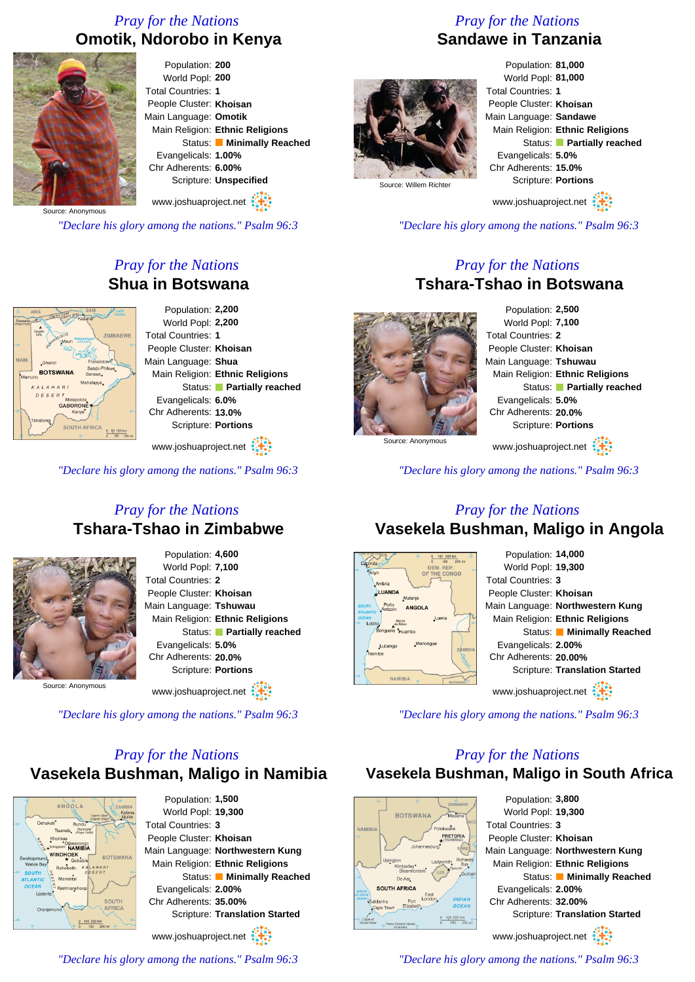## *Pray for the Nations* **Omotik, Ndorobo in Kenya**



Population: **200** World Popl: **200** Total Countries: **1** People Cluster: **Khoisan** Main Language: **Omotik** Main Religion: **Ethnic Religions** Status: **Minimally Reached** Evangelicals: **1.00%** Chr Adherents: **6.00%** Scripture: **Unspecified** www.joshuaproject.net

Source: Anonymous

*"Declare his glory among the nations." Psalm 96:3*

# *Pray for the Nations* **Shua in Botswana**



www.joshuaproject.net

*"Declare his glory among the nations." Psalm 96:3*

#### *Pray for the Nations* **Tshara-Tshao in Zimbabwe**



Population: **4,600** World Popl: **7,100** Total Countries: **2** People Cluster: **Khoisan** Main Language: **Tshuwau** Main Religion: **Ethnic Religions** Status: **Partially reached** Evangelicals: **5.0%** Chr Adherents: **20.0%** Scripture: **Portions**

Source: Anonymous

www.joshuaproject.net

*"Declare his glory among the nations." Psalm 96:3*

# *Pray for the Nations* **Vasekela Bushman, Maligo in Namibia**



Population: **1,500** World Popl: **19,300** Total Countries: **3** People Cluster: **Khoisan** Main Language: **Northwestern Kung** Main Religion: **Ethnic Religions** Status: **Minimally Reached** Evangelicals: **2.00%** Chr Adherents: **35.00%** Scripture: **Translation Started**

www.joshuaproject.net

*"Declare his glory among the nations." Psalm 96:3*

### *Pray for the Nations* **Sandawe in Tanzania**



Population: **81,000** World Popl: **81,000** Total Countries: **1** People Cluster: **Khoisan** Main Language: **Sandawe** Main Religion: **Ethnic Religions** Status: **Partially reached** Evangelicals: **5.0%** Chr Adherents: **15.0%** Scripture: **Portions**

www.joshuaproject.net

*"Declare his glory among the nations." Psalm 96:3*

#### *Pray for the Nations* **Tshara-Tshao in Botswana**

Population: **2,500** World Popl: **7,100** Total Countries: **2** People Cluster: **Khoisan** Main Language: **Tshuwau** Main Religion: **Ethnic Religions** Status: **Partially reached** Evangelicals: **5.0%** Chr Adherents: **20.0%** Scripture: **Portions** www.joshuaproject.net

Source: Anonymous

*"Declare his glory among the nations." Psalm 96:3*

#### *Pray for the Nations* **Vasekela Bushman, Maligo in Angola**



*"Declare his glory among the nations." Psalm 96:3*

#### *Pray for the Nations*

**Vasekela Bushman, Maligo in South Africa**